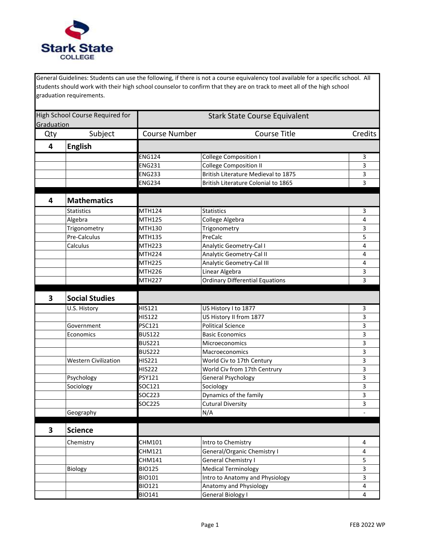

General Guidelines: Students can use the following, if there is not a course equivalency tool available for a specific school. All students should work with their high school counselor to confirm that they are on track to meet all of the high school graduation requirements.

| High School Course Required for<br>Graduation |                             | <b>Stark State Course Equivalent</b> |                                        |                         |
|-----------------------------------------------|-----------------------------|--------------------------------------|----------------------------------------|-------------------------|
| Qty                                           | Subject                     | <b>Course Number</b>                 | <b>Course Title</b>                    | Credits                 |
| $\overline{\mathbf{4}}$                       | <b>English</b>              |                                      |                                        |                         |
|                                               |                             | <b>ENG124</b>                        | <b>College Composition I</b>           | 3                       |
|                                               |                             | <b>ENG231</b>                        | <b>College Composition II</b>          | 3                       |
|                                               |                             | <b>ENG233</b>                        | British Literature Medieval to 1875    | 3                       |
|                                               |                             | <b>ENG234</b>                        | British Literature Colonial to 1865    | 3                       |
| 4                                             | <b>Mathematics</b>          |                                      |                                        |                         |
|                                               | <b>Statistics</b>           | MTH124                               | <b>Statistics</b>                      | 3                       |
|                                               | Algebra                     | MTH125                               | College Algebra                        | 4                       |
|                                               | Trigonometry                | MTH130                               | Trigonometry                           | 3                       |
|                                               | Pre-Calculus                | <b>MTH135</b>                        | PreCalc                                | 5                       |
|                                               | Calculus                    | <b>MTH223</b>                        | Analytic Geometry-Cal I                | 4                       |
|                                               |                             | MTH <sub>224</sub>                   | Analytic Geometry-Cal II               | 4                       |
|                                               |                             | <b>MTH225</b>                        | Analytic Geometry-Cal III              | 4                       |
|                                               |                             | MTH226                               | Linear Algebra                         | 3                       |
|                                               |                             | <b>MTH227</b>                        | <b>Ordinary Differential Equations</b> | 3                       |
| 3                                             | <b>Social Studies</b>       |                                      |                                        |                         |
|                                               | U.S. History                | HIS121                               | US History I to 1877                   | 3                       |
|                                               |                             | <b>HIS122</b>                        | US History II from 1877                | 3                       |
|                                               | Government                  | <b>PSC121</b>                        | <b>Political Science</b>               | 3                       |
|                                               | Economics                   | <b>BUS122</b>                        | <b>Basic Economics</b>                 | 3                       |
|                                               |                             | <b>BUS221</b>                        | Microeconomics                         | 3                       |
|                                               |                             | <b>BUS222</b>                        | Macroeconomics                         | 3                       |
|                                               | <b>Western Civilization</b> | <b>HIS221</b>                        | World Civ to 17th Century              | 3                       |
|                                               |                             | <b>HIS222</b>                        | World Civ from 17th Centrury           | 3                       |
|                                               | Psychology                  | <b>PSY121</b>                        | General Psychology                     | 3                       |
|                                               | Sociology                   | SOC121                               | Sociology                              | 3                       |
|                                               |                             | SOC223                               | Dynamics of the family                 | 3                       |
|                                               |                             | SOC225                               | <b>Cutural Diversity</b>               | 3                       |
|                                               | Geography                   |                                      | N/A                                    | $\overline{a}$          |
| 3                                             | <b>Science</b>              |                                      |                                        |                         |
|                                               | Chemistry                   | CHM101                               | Intro to Chemistry                     | 4                       |
|                                               |                             | CHM121                               | General/Organic Chemistry I            | 4                       |
|                                               |                             | CHM141                               | <b>General Chemistry I</b>             | 5                       |
|                                               | Biology                     | <b>BIO125</b>                        | <b>Medical Terminology</b>             | 3                       |
|                                               |                             | <b>BIO101</b>                        | Intro to Anatomy and Physiology        | 3                       |
|                                               |                             | <b>BIO121</b>                        | Anatomy and Physiology                 | $\overline{\mathbf{4}}$ |
|                                               |                             | <b>BIO141</b>                        | General Biology I                      | 4                       |